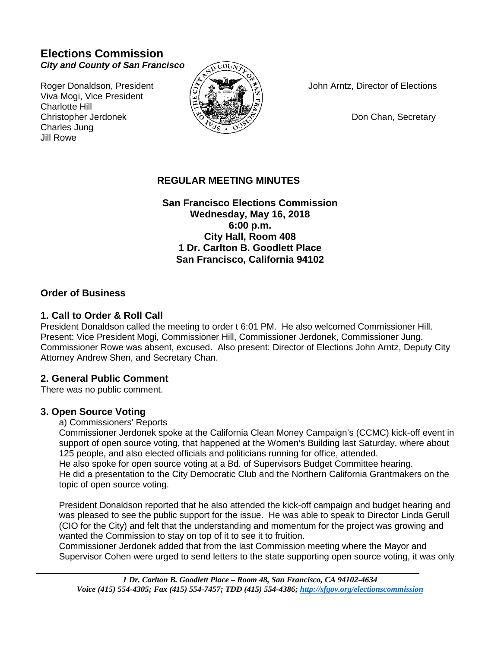# **Elections Commission** *City and County of San Francisco*

Viva Mogi, Vice President Charlotte Hill Christopher Jerdonek  $\sqrt{\sigma}$   $\sqrt{\sigma}$ Charles Jung Jill Rowe



Roger Donaldson, President  $\langle \xi \rangle$   $\langle \xi \rangle$  John Arntz, Director of Elections

# **REGULAR MEETING MINUTES**

**San Francisco Elections Commission Wednesday, May 16, 2018 6:00 p.m. City Hall, Room 408 1 Dr. Carlton B. Goodlett Place San Francisco, California 94102**

# **Order of Business**

# **1. Call to Order & Roll Call**

President Donaldson called the meeting to order t 6:01 PM. He also welcomed Commissioner Hill. Present: Vice President Mogi, Commissioner Hill, Commissioner Jerdonek, Commissioner Jung. Commissioner Rowe was absent, excused. Also present: Director of Elections John Arntz, Deputy City Attorney Andrew Shen, and Secretary Chan.

## **2. General Public Comment**

There was no public comment.

## **3. Open Source Voting**

a) Commissioners' Reports

Commissioner Jerdonek spoke at the California Clean Money Campaign's (CCMC) kick-off event in support of open source voting, that happened at the Women's Building last Saturday, where about 125 people, and also elected officials and politicians running for office, attended. He also spoke for open source voting at a Bd. of Supervisors Budget Committee hearing. He did a presentation to the City Democratic Club and the Northern California Grantmakers on the topic of open source voting.

President Donaldson reported that he also attended the kick-off campaign and budget hearing and was pleased to see the public support for the issue. He was able to speak to Director Linda Gerull (CIO for the City) and felt that the understanding and momentum for the project was growing and wanted the Commission to stay on top of it to see it to fruition.

Commissioner Jerdonek added that from the last Commission meeting where the Mayor and Supervisor Cohen were urged to send letters to the state supporting open source voting, it was only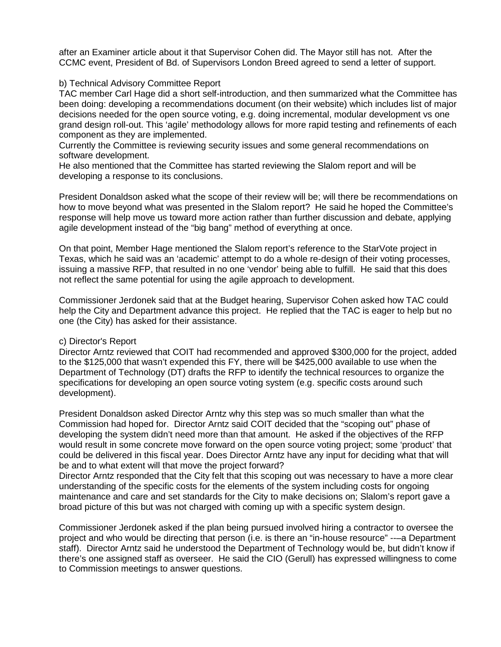after an Examiner article about it that Supervisor Cohen did. The Mayor still has not. After the CCMC event, President of Bd. of Supervisors London Breed agreed to send a letter of support.

#### b) Technical Advisory Committee Report

TAC member Carl Hage did a short self-introduction, and then summarized what the Committee has been doing: developing a recommendations document (on their website) which includes list of major decisions needed for the open source voting, e.g. doing incremental, modular development vs one grand design roll-out. This 'agile' methodology allows for more rapid testing and refinements of each component as they are implemented.

Currently the Committee is reviewing security issues and some general recommendations on software development.

He also mentioned that the Committee has started reviewing the Slalom report and will be developing a response to its conclusions.

President Donaldson asked what the scope of their review will be; will there be recommendations on how to move beyond what was presented in the Slalom report? He said he hoped the Committee's response will help move us toward more action rather than further discussion and debate, applying agile development instead of the "big bang" method of everything at once.

On that point, Member Hage mentioned the Slalom report's reference to the StarVote project in Texas, which he said was an 'academic' attempt to do a whole re-design of their voting processes, issuing a massive RFP, that resulted in no one 'vendor' being able to fulfill. He said that this does not reflect the same potential for using the agile approach to development.

Commissioner Jerdonek said that at the Budget hearing, Supervisor Cohen asked how TAC could help the City and Department advance this project. He replied that the TAC is eager to help but no one (the City) has asked for their assistance.

#### c) Director's Report

Director Arntz reviewed that COIT had recommended and approved \$300,000 for the project, added to the \$125,000 that wasn't expended this FY, there will be \$425,000 available to use when the Department of Technology (DT) drafts the RFP to identify the technical resources to organize the specifications for developing an open source voting system (e.g. specific costs around such development).

President Donaldson asked Director Arntz why this step was so much smaller than what the Commission had hoped for. Director Arntz said COIT decided that the "scoping out" phase of developing the system didn't need more than that amount. He asked if the objectives of the RFP would result in some concrete move forward on the open source voting project; some 'product' that could be delivered in this fiscal year. Does Director Arntz have any input for deciding what that will be and to what extent will that move the project forward?

Director Arntz responded that the City felt that this scoping out was necessary to have a more clear understanding of the specific costs for the elements of the system including costs for ongoing maintenance and care and set standards for the City to make decisions on; Slalom's report gave a broad picture of this but was not charged with coming up with a specific system design.

Commissioner Jerdonek asked if the plan being pursued involved hiring a contractor to oversee the project and who would be directing that person (i.e. is there an "in-house resource" --–a Department staff). Director Arntz said he understood the Department of Technology would be, but didn't know if there's one assigned staff as overseer. He said the CIO (Gerull) has expressed willingness to come to Commission meetings to answer questions.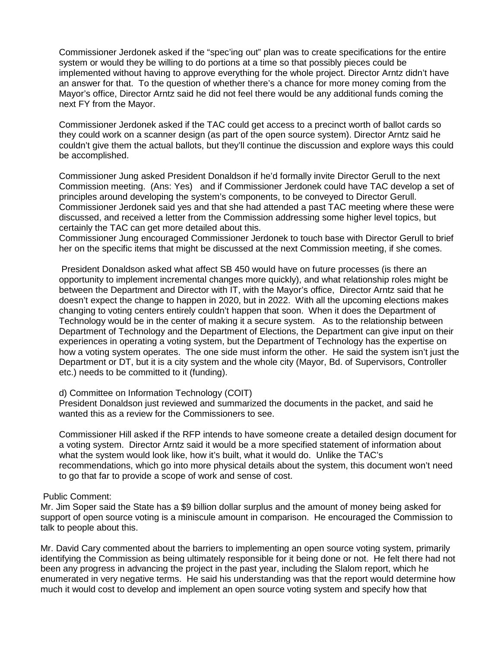Commissioner Jerdonek asked if the "spec'ing out" plan was to create specifications for the entire system or would they be willing to do portions at a time so that possibly pieces could be implemented without having to approve everything for the whole project. Director Arntz didn't have an answer for that. To the question of whether there's a chance for more money coming from the Mayor's office, Director Arntz said he did not feel there would be any additional funds coming the next FY from the Mayor.

Commissioner Jerdonek asked if the TAC could get access to a precinct worth of ballot cards so they could work on a scanner design (as part of the open source system). Director Arntz said he couldn't give them the actual ballots, but they'll continue the discussion and explore ways this could be accomplished.

Commissioner Jung asked President Donaldson if he'd formally invite Director Gerull to the next Commission meeting. (Ans: Yes) and if Commissioner Jerdonek could have TAC develop a set of principles around developing the system's components, to be conveyed to Director Gerull. Commissioner Jerdonek said yes and that she had attended a past TAC meeting where these were discussed, and received a letter from the Commission addressing some higher level topics, but certainly the TAC can get more detailed about this.

Commissioner Jung encouraged Commissioner Jerdonek to touch base with Director Gerull to brief her on the specific items that might be discussed at the next Commission meeting, if she comes.

President Donaldson asked what affect SB 450 would have on future processes (is there an opportunity to implement incremental changes more quickly), and what relationship roles might be between the Department and Director with IT, with the Mayor's office, Director Arntz said that he doesn't expect the change to happen in 2020, but in 2022. With all the upcoming elections makes changing to voting centers entirely couldn't happen that soon. When it does the Department of Technology would be in the center of making it a secure system. As to the relationship between Department of Technology and the Department of Elections, the Department can give input on their experiences in operating a voting system, but the Department of Technology has the expertise on how a voting system operates. The one side must inform the other. He said the system isn't just the Department or DT, but it is a city system and the whole city (Mayor, Bd. of Supervisors, Controller etc.) needs to be committed to it (funding).

d) Committee on Information Technology (COIT)

President Donaldson just reviewed and summarized the documents in the packet, and said he wanted this as a review for the Commissioners to see.

Commissioner Hill asked if the RFP intends to have someone create a detailed design document for a voting system. Director Arntz said it would be a more specified statement of information about what the system would look like, how it's built, what it would do. Unlike the TAC's recommendations, which go into more physical details about the system, this document won't need to go that far to provide a scope of work and sense of cost.

#### Public Comment:

Mr. Jim Soper said the State has a \$9 billion dollar surplus and the amount of money being asked for support of open source voting is a miniscule amount in comparison. He encouraged the Commission to talk to people about this.

Mr. David Cary commented about the barriers to implementing an open source voting system, primarily identifying the Commission as being ultimately responsible for it being done or not. He felt there had not been any progress in advancing the project in the past year, including the Slalom report, which he enumerated in very negative terms. He said his understanding was that the report would determine how much it would cost to develop and implement an open source voting system and specify how that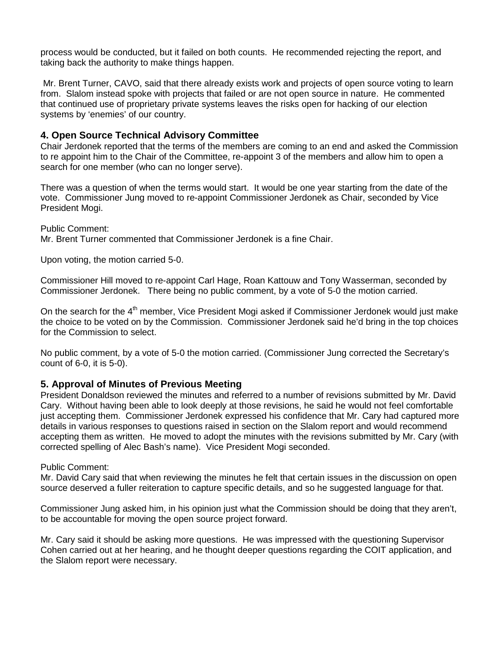process would be conducted, but it failed on both counts. He recommended rejecting the report, and taking back the authority to make things happen.

Mr. Brent Turner, CAVO, said that there already exists work and projects of open source voting to learn from. Slalom instead spoke with projects that failed or are not open source in nature. He commented that continued use of proprietary private systems leaves the risks open for hacking of our election systems by 'enemies' of our country.

## **4. Open Source Technical Advisory Committee**

Chair Jerdonek reported that the terms of the members are coming to an end and asked the Commission to re appoint him to the Chair of the Committee, re-appoint 3 of the members and allow him to open a search for one member (who can no longer serve).

There was a question of when the terms would start. It would be one year starting from the date of the vote. Commissioner Jung moved to re-appoint Commissioner Jerdonek as Chair, seconded by Vice President Mogi.

Public Comment:

Mr. Brent Turner commented that Commissioner Jerdonek is a fine Chair.

Upon voting, the motion carried 5-0.

Commissioner Hill moved to re-appoint Carl Hage, Roan Kattouw and Tony Wasserman, seconded by Commissioner Jerdonek. There being no public comment, by a vote of 5-0 the motion carried.

On the search for the 4<sup>th</sup> member, Vice President Mogi asked if Commissioner Jerdonek would just make the choice to be voted on by the Commission. Commissioner Jerdonek said he'd bring in the top choices for the Commission to select.

No public comment, by a vote of 5-0 the motion carried. (Commissioner Jung corrected the Secretary's count of 6-0, it is 5-0).

### **5. Approval of Minutes of Previous Meeting**

President Donaldson reviewed the minutes and referred to a number of revisions submitted by Mr. David Cary. Without having been able to look deeply at those revisions, he said he would not feel comfortable just accepting them. Commissioner Jerdonek expressed his confidence that Mr. Cary had captured more details in various responses to questions raised in section on the Slalom report and would recommend accepting them as written. He moved to adopt the minutes with the revisions submitted by Mr. Cary (with corrected spelling of Alec Bash's name). Vice President Mogi seconded.

### Public Comment:

Mr. David Cary said that when reviewing the minutes he felt that certain issues in the discussion on open source deserved a fuller reiteration to capture specific details, and so he suggested language for that.

Commissioner Jung asked him, in his opinion just what the Commission should be doing that they aren't, to be accountable for moving the open source project forward.

Mr. Cary said it should be asking more questions. He was impressed with the questioning Supervisor Cohen carried out at her hearing, and he thought deeper questions regarding the COIT application, and the Slalom report were necessary.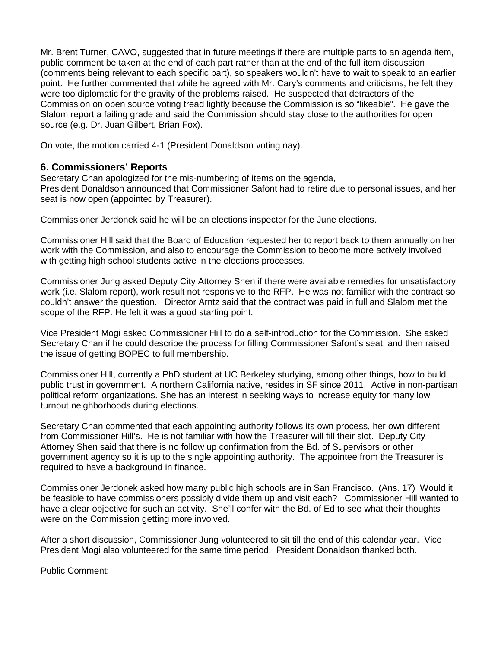Mr. Brent Turner, CAVO, suggested that in future meetings if there are multiple parts to an agenda item, public comment be taken at the end of each part rather than at the end of the full item discussion (comments being relevant to each specific part), so speakers wouldn't have to wait to speak to an earlier point. He further commented that while he agreed with Mr. Cary's comments and criticisms, he felt they were too diplomatic for the gravity of the problems raised. He suspected that detractors of the Commission on open source voting tread lightly because the Commission is so "likeable". He gave the Slalom report a failing grade and said the Commission should stay close to the authorities for open source (e.g. Dr. Juan Gilbert, Brian Fox).

On vote, the motion carried 4-1 (President Donaldson voting nay).

## **6. Commissioners' Reports**

Secretary Chan apologized for the mis-numbering of items on the agenda, President Donaldson announced that Commissioner Safont had to retire due to personal issues, and her seat is now open (appointed by Treasurer).

Commissioner Jerdonek said he will be an elections inspector for the June elections.

Commissioner Hill said that the Board of Education requested her to report back to them annually on her work with the Commission, and also to encourage the Commission to become more actively involved with getting high school students active in the elections processes.

Commissioner Jung asked Deputy City Attorney Shen if there were available remedies for unsatisfactory work (i.e. Slalom report), work result not responsive to the RFP. He was not familiar with the contract so couldn't answer the question. Director Arntz said that the contract was paid in full and Slalom met the scope of the RFP. He felt it was a good starting point.

Vice President Mogi asked Commissioner Hill to do a self-introduction for the Commission. She asked Secretary Chan if he could describe the process for filling Commissioner Safont's seat, and then raised the issue of getting BOPEC to full membership.

Commissioner Hill, currently a PhD student at UC Berkeley studying, among other things, how to build public trust in government. A northern California native, resides in SF since 2011. Active in non-partisan political reform organizations. She has an interest in seeking ways to increase equity for many low turnout neighborhoods during elections.

Secretary Chan commented that each appointing authority follows its own process, her own different from Commissioner Hill's. He is not familiar with how the Treasurer will fill their slot. Deputy City Attorney Shen said that there is no follow up confirmation from the Bd. of Supervisors or other government agency so it is up to the single appointing authority. The appointee from the Treasurer is required to have a background in finance.

Commissioner Jerdonek asked how many public high schools are in San Francisco. (Ans. 17) Would it be feasible to have commissioners possibly divide them up and visit each? Commissioner Hill wanted to have a clear objective for such an activity. She'll confer with the Bd. of Ed to see what their thoughts were on the Commission getting more involved.

After a short discussion, Commissioner Jung volunteered to sit till the end of this calendar year. Vice President Mogi also volunteered for the same time period. President Donaldson thanked both.

Public Comment: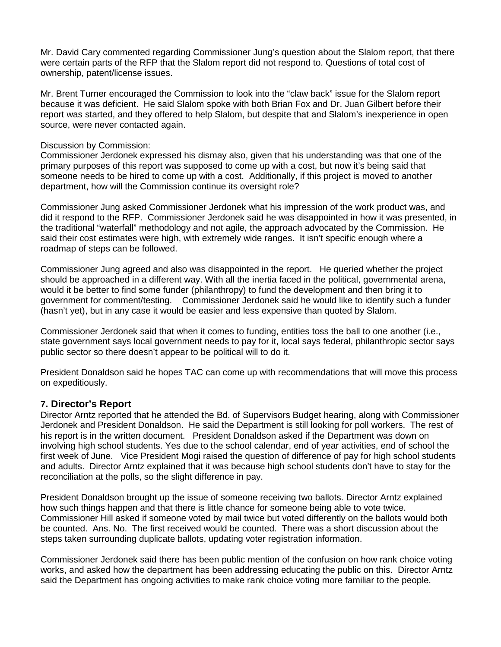Mr. David Cary commented regarding Commissioner Jung's question about the Slalom report, that there were certain parts of the RFP that the Slalom report did not respond to. Questions of total cost of ownership, patent/license issues.

Mr. Brent Turner encouraged the Commission to look into the "claw back" issue for the Slalom report because it was deficient. He said Slalom spoke with both Brian Fox and Dr. Juan Gilbert before their report was started, and they offered to help Slalom, but despite that and Slalom's inexperience in open source, were never contacted again.

#### Discussion by Commission:

Commissioner Jerdonek expressed his dismay also, given that his understanding was that one of the primary purposes of this report was supposed to come up with a cost, but now it's being said that someone needs to be hired to come up with a cost. Additionally, if this project is moved to another department, how will the Commission continue its oversight role?

Commissioner Jung asked Commissioner Jerdonek what his impression of the work product was, and did it respond to the RFP. Commissioner Jerdonek said he was disappointed in how it was presented, in the traditional "waterfall" methodology and not agile, the approach advocated by the Commission. He said their cost estimates were high, with extremely wide ranges. It isn't specific enough where a roadmap of steps can be followed.

Commissioner Jung agreed and also was disappointed in the report. He queried whether the project should be approached in a different way. With all the inertia faced in the political, governmental arena, would it be better to find some funder (philanthropy) to fund the development and then bring it to government for comment/testing. Commissioner Jerdonek said he would like to identify such a funder (hasn't yet), but in any case it would be easier and less expensive than quoted by Slalom.

Commissioner Jerdonek said that when it comes to funding, entities toss the ball to one another (i.e., state government says local government needs to pay for it, local says federal, philanthropic sector says public sector so there doesn't appear to be political will to do it.

President Donaldson said he hopes TAC can come up with recommendations that will move this process on expeditiously.

### **7. Director's Report**

Director Arntz reported that he attended the Bd. of Supervisors Budget hearing, along with Commissioner Jerdonek and President Donaldson. He said the Department is still looking for poll workers. The rest of his report is in the written document. President Donaldson asked if the Department was down on involving high school students. Yes due to the school calendar, end of year activities, end of school the first week of June. Vice President Mogi raised the question of difference of pay for high school students and adults. Director Arntz explained that it was because high school students don't have to stay for the reconciliation at the polls, so the slight difference in pay.

President Donaldson brought up the issue of someone receiving two ballots. Director Arntz explained how such things happen and that there is little chance for someone being able to vote twice. Commissioner Hill asked if someone voted by mail twice but voted differently on the ballots would both be counted. Ans. No. The first received would be counted. There was a short discussion about the steps taken surrounding duplicate ballots, updating voter registration information.

Commissioner Jerdonek said there has been public mention of the confusion on how rank choice voting works, and asked how the department has been addressing educating the public on this. Director Arntz said the Department has ongoing activities to make rank choice voting more familiar to the people.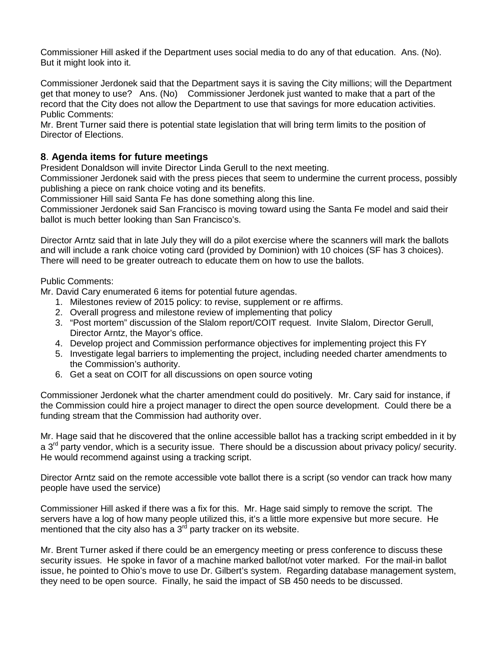Commissioner Hill asked if the Department uses social media to do any of that education. Ans. (No). But it might look into it.

Commissioner Jerdonek said that the Department says it is saving the City millions; will the Department get that money to use? Ans. (No) Commissioner Jerdonek just wanted to make that a part of the record that the City does not allow the Department to use that savings for more education activities. Public Comments:

Mr. Brent Turner said there is potential state legislation that will bring term limits to the position of Director of Elections.

## **8**. **Agenda items for future meetings**

President Donaldson will invite Director Linda Gerull to the next meeting.

Commissioner Jerdonek said with the press pieces that seem to undermine the current process, possibly publishing a piece on rank choice voting and its benefits.

Commissioner Hill said Santa Fe has done something along this line.

Commissioner Jerdonek said San Francisco is moving toward using the Santa Fe model and said their ballot is much better looking than San Francisco's.

Director Arntz said that in late July they will do a pilot exercise where the scanners will mark the ballots and will include a rank choice voting card (provided by Dominion) with 10 choices (SF has 3 choices). There will need to be greater outreach to educate them on how to use the ballots.

Public Comments:

Mr. David Cary enumerated 6 items for potential future agendas.

- 1. Milestones review of 2015 policy: to revise, supplement or re affirms.
- 2. Overall progress and milestone review of implementing that policy
- 3. "Post mortem" discussion of the Slalom report/COIT request. Invite Slalom, Director Gerull, Director Arntz, the Mayor's office.
- 4. Develop project and Commission performance objectives for implementing project this FY
- 5. Investigate legal barriers to implementing the project, including needed charter amendments to the Commission's authority.
- 6. Get a seat on COIT for all discussions on open source voting

Commissioner Jerdonek what the charter amendment could do positively. Mr. Cary said for instance, if the Commission could hire a project manager to direct the open source development. Could there be a funding stream that the Commission had authority over.

Mr. Hage said that he discovered that the online accessible ballot has a tracking script embedded in it by a  $3<sup>rd</sup>$  party vendor, which is a security issue. There should be a discussion about privacy policy/ security. He would recommend against using a tracking script.

Director Arntz said on the remote accessible vote ballot there is a script (so vendor can track how many people have used the service)

Commissioner Hill asked if there was a fix for this. Mr. Hage said simply to remove the script. The servers have a log of how many people utilized this, it's a little more expensive but more secure. He mentioned that the city also has a  $3<sup>rd</sup>$  party tracker on its website.

Mr. Brent Turner asked if there could be an emergency meeting or press conference to discuss these security issues. He spoke in favor of a machine marked ballot/not voter marked. For the mail-in ballot issue, he pointed to Ohio's move to use Dr. Gilbert's system. Regarding database management system, they need to be open source. Finally, he said the impact of SB 450 needs to be discussed.